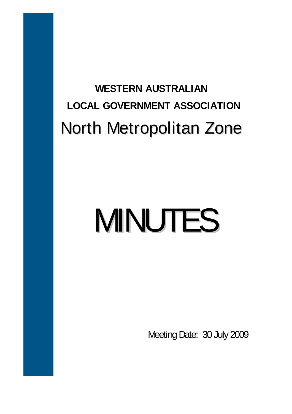## **WESTERN AUSTRALIAN LOCAL GOVERNMENT ASSOCIATION**  North Metropolitan Zone

# MINUTES

Meeting Date: 30 July 2009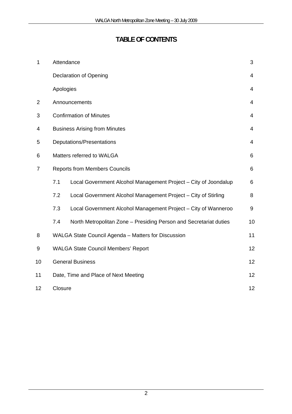### **TABLE OF CONTENTS**

| $\mathbf{1}$   | Attendance                                          |                                                                   |                |  |  |
|----------------|-----------------------------------------------------|-------------------------------------------------------------------|----------------|--|--|
|                |                                                     | <b>Declaration of Opening</b>                                     | $\overline{4}$ |  |  |
|                | Apologies                                           |                                                                   | 4              |  |  |
| $\overline{2}$ |                                                     | Announcements                                                     | 4              |  |  |
| 3              |                                                     | <b>Confirmation of Minutes</b>                                    | 4              |  |  |
| 4              | <b>Business Arising from Minutes</b>                |                                                                   |                |  |  |
| 5              | Deputations/Presentations                           |                                                                   |                |  |  |
| 6              | Matters referred to WALGA                           |                                                                   |                |  |  |
| $\overline{7}$ | <b>Reports from Members Councils</b>                |                                                                   |                |  |  |
|                | 7.1                                                 | Local Government Alcohol Management Project - City of Joondalup   | 6              |  |  |
|                | 7.2                                                 | Local Government Alcohol Management Project - City of Stirling    | 8              |  |  |
|                | 7.3                                                 | Local Government Alcohol Management Project - City of Wanneroo    | 9              |  |  |
|                | 7.4                                                 | North Metropolitan Zone - Presiding Person and Secretariat duties | 10             |  |  |
| 8              | WALGA State Council Agenda - Matters for Discussion |                                                                   |                |  |  |
| 9              | <b>WALGA State Council Members' Report</b><br>12    |                                                                   |                |  |  |
| 10             | <b>General Business</b><br>12                       |                                                                   |                |  |  |
| 11             | 12<br>Date, Time and Place of Next Meeting          |                                                                   |                |  |  |
| 12             | Closure<br>12                                       |                                                                   |                |  |  |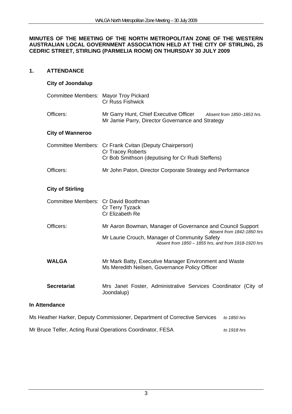#### **MINUTES OF THE MEETING OF THE NORTH METROPOLITAN ZONE OF THE WESTERN AUSTRALIAN LOCAL GOVERNMENT ASSOCIATION HELD AT THE CITY OF STIRLING, 25 CEDRIC STREET, STIRLING (PARMELIA ROOM) ON THURSDAY 30 JULY 2009**

#### **1. ATTENDANCE**

#### **City of Joondalup**

| Committee Members: Mayor Troy Pickard | <b>Cr Russ Fishwick</b>                                                                                                                                                                         |
|---------------------------------------|-------------------------------------------------------------------------------------------------------------------------------------------------------------------------------------------------|
| Officers:                             | Mr Garry Hunt, Chief Executive Officer Absent from 1850-1853 hrs.<br>Mr Jamie Parry, Director Governance and Strategy                                                                           |
| <b>City of Wanneroo</b>               |                                                                                                                                                                                                 |
|                                       | Committee Members: Cr Frank Cvitan (Deputy Chairperson)<br>Cr Tracey Roberts<br>Cr Bob Smithson (deputising for Cr Rudi Steffens)                                                               |
| Officers:                             | Mr John Paton, Director Corporate Strategy and Performance                                                                                                                                      |
| <b>City of Stirling</b>               |                                                                                                                                                                                                 |
| Committee Members: Cr David Boothman  | Cr Terry Tyzack<br>Cr Elizabeth Re                                                                                                                                                              |
| Officers:                             | Mr Aaron Bowman, Manager of Governance and Council Support<br>Absent from 1842-1850 hrs<br>Mr Laurie Crouch, Manager of Community Safety<br>Absent from 1850 - 1855 hrs, and from 1918-1920 hrs |
| <b>WALGA</b>                          | Mr Mark Batty, Executive Manager Environment and Waste<br>Ms Meredith Neilsen, Governance Policy Officer                                                                                        |
| <b>Secretariat</b>                    | Mrs Janet Foster, Administrative Services Coordinator (City of<br>Joondalup)                                                                                                                    |
| <b>In Attendance</b>                  |                                                                                                                                                                                                 |
|                                       | Ms Heather Harker, Deputy Commissioner, Department of Corrective Services<br>to 1850 hrs                                                                                                        |

Mr Bruce Telfer, Acting Rural Operations Coordinator, FESA *to 1918 hrs*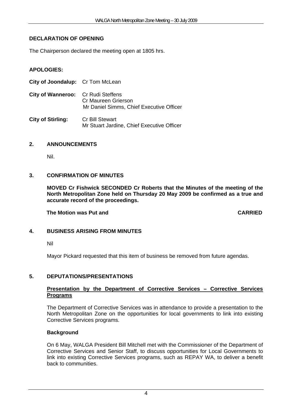#### **DECLARATION OF OPENING**

The Chairperson declared the meeting open at 1805 hrs.

#### **APOLOGIES:**

| City of Joondalup: Cr Tom McLean   |                                                                      |
|------------------------------------|----------------------------------------------------------------------|
| City of Wanneroo: Cr Rudi Steffens | Cr Maureen Grierson<br>Mr Daniel Simms, Chief Executive Officer      |
| <b>City of Stirling:</b>           | <b>Cr Bill Stewart</b><br>Mr Stuart Jardine, Chief Executive Officer |

#### **2. ANNOUNCEMENTS**

Nil.

#### **3. CONFIRMATION OF MINUTES**

**MOVED Cr Fishwick SECONDED Cr Roberts that the Minutes of the meeting of the North Metropolitan Zone held on Thursday 20 May 2009 be confirmed as a true and accurate record of the proceedings.** 

 **The Motion was Put and CARRIED** 

#### **4. BUSINESS ARISING FROM MINUTES**

Nil

Mayor Pickard requested that this item of business be removed from future agendas.

#### **5. DEPUTATIONS/PRESENTATIONS**

#### **Presentation by the Department of Corrective Services – Corrective Services Programs**

The Department of Corrective Services was in attendance to provide a presentation to the North Metropolitan Zone on the opportunities for local governments to link into existing Corrective Services programs.

#### **Background**

On 6 May, WALGA President Bill Mitchell met with the Commissioner of the Department of Corrective Services and Senior Staff, to discuss opportunities for Local Governments to link into existing Corrective Services programs, such as REPAY WA, to deliver a benefit back to communities.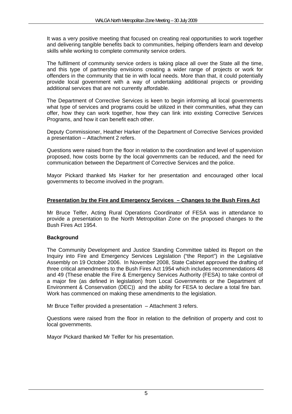It was a very positive meeting that focused on creating real opportunities to work together and delivering tangible benefits back to communities, helping offenders learn and develop skills while working to complete community service orders.

The fulfilment of community service orders is taking place all over the State all the time, and this type of partnership envisions creating a wider range of projects or work for offenders in the community that tie in with local needs. More than that, it could potentially provide local government with a way of undertaking additional projects or providing additional services that are not currently affordable.

The Department of Corrective Services is keen to begin informing all local governments what type of services and programs could be utilized in their communities, what they can offer, how they can work together, how they can link into existing Corrective Services Programs, and how it can benefit each other.

Deputy Commissioner, Heather Harker of the Department of Corrective Services provided a presentation – Attachment 2 refers.

Questions were raised from the floor in relation to the coordination and level of supervision proposed, how costs borne by the local governments can be reduced, and the need for communication between the Department of Corrective Services and the police.

Mayor Pickard thanked Ms Harker for her presentation and encouraged other local governments to become involved in the program.

#### **Presentation by the Fire and Emergency Services – Changes to the Bush Fires Act**

Mr Bruce Telfer, Acting Rural Operations Coordinator of FESA was in attendance to provide a presentation to the North Metropolitan Zone on the proposed changes to the Bush Fires Act 1954.

#### **Background**

The Community Development and Justice Standing Committee tabled its Report on the Inquiry into Fire and Emergency Services Legislation ("the Report") in the Legislative Assembly on 19 October 2006. In November 2008, State Cabinet approved the drafting of three critical amendments to the Bush Fires Act 1954 which includes recommendations 48 and 49 (These enable the Fire & Emergency Services Authority (FESA) to take control of a major fire (as defined in legislation) from Local Governments or the Department of Environment & Conservation (DEC)) and the ability for FESA to declare a total fire ban. Work has commenced on making these amendments to the legislation.

Mr Bruce Telfer provided a presentation – Attachment 3 refers.

Questions were raised from the floor in relation to the definition of property and cost to local governments.

Mayor Pickard thanked Mr Telfer for his presentation.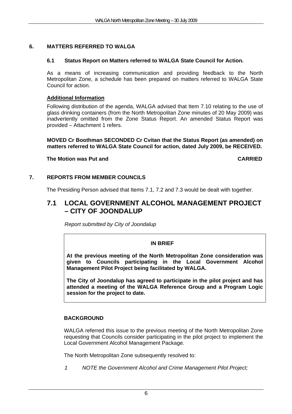#### **6. MATTERS REFERRED TO WALGA**

#### **6.1 Status Report on Matters referred to WALGA State Council for Action.**

As a means of increasing communication and providing feedback to the North Metropolitan Zone, a schedule has been prepared on matters referred to WALGA State Council for action.

#### **Additional Information**

Following distribution of the agenda, WALGA advised that Item 7.10 relating to the use of glass drinking containers (from the North Metropolitan Zone minutes of 20 May 2009) was inadvertently omitted from the Zone Status Report. An amended Status Report was provided – Attachment 1 refers.

#### **MOVED Cr Boothman SECONDED Cr Cvitan that the Status Report (as amended) on matters referred to WALGA State Council for action, dated July 2009, be RECEIVED.**

#### **The Motion was Put and CARRIED**

#### **7. REPORTS FROM MEMBER COUNCILS**

The Presiding Person advised that Items 7.1, 7.2 and 7.3 would be dealt with together.

#### **7.1 LOCAL GOVERNMENT ALCOHOL MANAGEMENT PROJECT – CITY OF JOONDALUP**

*Report submitted by City of Joondalup* 

#### **IN BRIEF**

**At the previous meeting of the North Metropolitan Zone consideration was given to Councils participating in the Local Government Alcohol Management Pilot Project being facilitated by WALGA.** 

**The City of Joondalup has agreed to participate in the pilot project and has attended a meeting of the WALGA Reference Group and a Program Logic session for the project to date.** 

#### **BACKGROUND**

WALGA referred this issue to the previous meeting of the North Metropolitan Zone requesting that Councils consider participating in the pilot project to implement the Local Government Alcohol Management Package.

The North Metropolitan Zone subsequently resolved to:

*1 NOTE the Government Alcohol and Crime Management Pilot Project;*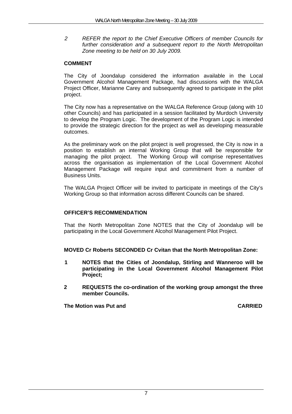*2 REFER the report to the Chief Executive Officers of member Councils for further consideration and a subsequent report to the North Metropolitan Zone meeting to be held on 30 July 2009.* 

#### **COMMENT**

The City of Joondalup considered the information available in the Local Government Alcohol Management Package, had discussions with the WALGA Project Officer, Marianne Carey and subsequently agreed to participate in the pilot project.

The City now has a representative on the WALGA Reference Group (along with 10 other Councils) and has participated in a session facilitated by Murdoch University to develop the Program Logic. The development of the Program Logic is intended to provide the strategic direction for the project as well as developing measurable outcomes.

As the preliminary work on the pilot project is well progressed, the City is now in a position to establish an internal Working Group that will be responsible for managing the pilot project. The Working Group will comprise representatives across the organisation as implementation of the Local Government Alcohol Management Package will require input and commitment from a number of Business Units.

The WALGA Project Officer will be invited to participate in meetings of the City's Working Group so that information across different Councils can be shared.

#### **OFFICER'S RECOMMENDATION**

That the North Metropolitan Zone NOTES that the City of Joondalup will be participating in the Local Government Alcohol Management Pilot Project.

#### **MOVED Cr Roberts SECONDED Cr Cvitan that the North Metropolitan Zone:**

- **1 NOTES that the Cities of Joondalup, Stirling and Wanneroo will be participating in the Local Government Alcohol Management Pilot Project;**
- **2 REQUESTS the co-ordination of the working group amongst the three member Councils.**

**The Motion was Put and CARRIED CARRIED**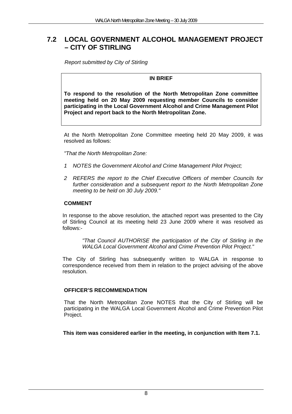#### **7.2 LOCAL GOVERNMENT ALCOHOL MANAGEMENT PROJECT – CITY OF STIRLING**

*Report submitted by City of Stirling* 

#### **IN BRIEF**

**To respond to the resolution of the North Metropolitan Zone committee meeting held on 20 May 2009 requesting member Councils to consider participating in the Local Government Alcohol and Crime Management Pilot Project and report back to the North Metropolitan Zone.** 

At the North Metropolitan Zone Committee meeting held 20 May 2009, it was resolved as follows:

*"That the North Metropolitan Zone:* 

- *1 NOTES the Government Alcohol and Crime Management Pilot Project;*
- *2 REFERS the report to the Chief Executive Officers of member Councils for further consideration and a subsequent report to the North Metropolitan Zone meeting to be held on 30 July 2009."*

#### **COMMENT**

In response to the above resolution, the attached report was presented to the City of Stirling Council at its meeting held 23 June 2009 where it was resolved as follows:-

> *"That Council AUTHORISE the participation of the City of Stirling in the WALGA Local Government Alcohol and Crime Prevention Pilot Project."*

The City of Stirling has subsequently written to WALGA in response to correspondence received from them in relation to the project advising of the above resolution.

#### **OFFICER'S RECOMMENDATION**

That the North Metropolitan Zone NOTES that the City of Stirling will be participating in the WALGA Local Government Alcohol and Crime Prevention Pilot Project.

**This item was considered earlier in the meeting, in conjunction with Item 7.1.**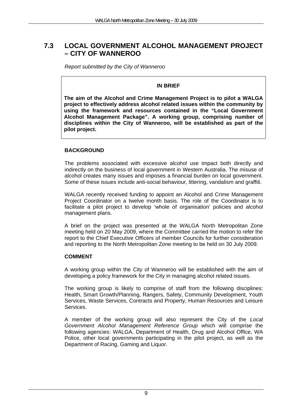#### **7.3 LOCAL GOVERNMENT ALCOHOL MANAGEMENT PROJECT – CITY OF WANNEROO**

*Report submitted by the City of Wanneroo* 

#### **IN BRIEF**

**The aim of the Alcohol and Crime Management Project is to pilot a WALGA project to effectively address alcohol related issues within the community by using the framework and resources contained in the "Local Government Alcohol Management Package". A working group, comprising number of disciplines within the City of Wanneroo, will be established as part of the pilot project.**

#### **BACKGROUND**

The problems associated with excessive alcohol use impact both directly and indirectly on the business of local government in Western Australia. The misuse of alcohol creates many issues and imposes a financial burden on local government. Some of these issues include anti-social behaviour, littering, vandalism and graffiti.

WALGA recently received funding to appoint an Alcohol and Crime Management Project Coordinator on a twelve month basis. The role of the Coordinator is to facilitate a pilot project to develop 'whole of organisation' policies and alcohol management plans.

A brief on the project was presented at the WALGA North Metropolitan Zone meeting held on 20 May 2009, where the Committee carried the motion to refer the report to the Chief Executive Officers of member Councils for further consideration and reporting to the North Metropolitan Zone meeting to be held on 30 July 2009.

#### **COMMENT**

A working group within the City of Wanneroo will be established with the aim of developing a policy framework for the City in managing alcohol related issues.

The working group is likely to comprise of staff from the following disciplines: Health, Smart Growth/Planning, Rangers, Safety, Community Development, Youth Services, Waste Services, Contracts and Property, Human Resources and Leisure Services.

A member of the working group will also represent the City of the *Local Government Alcohol Management Reference Group* which will comprise the following agencies: WALGA, Department of Health, Drug and Alcohol Office, WA Police, other local governments participating in the pilot project, as well as the Department of Racing, Gaming and Liquor.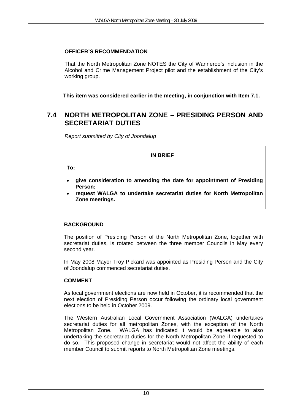#### **OFFICER'S RECOMMENDATION**

That the North Metropolitan Zone NOTES the City of Wanneroo's inclusion in the Alcohol and Crime Management Project pilot and the establishment of the City's working group.

**This item was considered earlier in the meeting, in conjunction with Item 7.1.** 

#### **7.4 NORTH METROPOLITAN ZONE – PRESIDING PERSON AND SECRETARIAT DUTIES**

*Report submitted by City of Joondalup* 

#### **IN BRIEF**

**To:** 

- **give consideration to amending the date for appointment of Presiding Person;**
- **request WALGA to undertake secretariat duties for North Metropolitan Zone meetings.**

#### **BACKGROUND**

The position of Presiding Person of the North Metropolitan Zone, together with secretariat duties, is rotated between the three member Councils in May every second year.

In May 2008 Mayor Troy Pickard was appointed as Presiding Person and the City of Joondalup commenced secretariat duties.

#### **COMMENT**

As local government elections are now held in October, it is recommended that the next election of Presiding Person occur following the ordinary local government elections to be held in October 2009.

The Western Australian Local Government Association (WALGA) undertakes secretariat duties for all metropolitan Zones, with the exception of the North Metropolitan Zone. WALGA has indicated it would be agreeable to also undertaking the secretariat duties for the North Metropolitan Zone if requested to do so. This proposed change in secretariat would not affect the ability of each member Council to submit reports to North Metropolitan Zone meetings.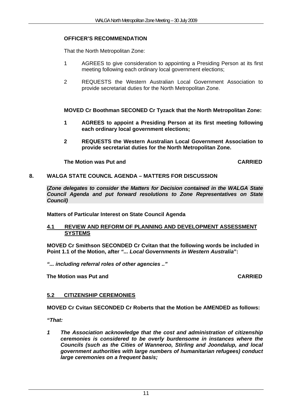#### **OFFICER'S RECOMMENDATION**

That the North Metropolitan Zone:

- 1 AGREES to give consideration to appointing a Presiding Person at its first meeting following each ordinary local government elections;
- 2 REQUESTS the Western Australian Local Government Association to provide secretariat duties for the North Metropolitan Zone.

**MOVED Cr Boothman SECONED Cr Tyzack that the North Metropolitan Zone:** 

- **1 AGREES to appoint a Presiding Person at its first meeting following each ordinary local government elections;**
- **2 REQUESTS the Western Australian Local Government Association to provide secretariat duties for the North Metropolitan Zone.**

**The Motion was Put and CARRIED CARRIED** 

#### **8. WALGA STATE COUNCIL AGENDA – MATTERS FOR DISCUSSION**

**(***Zone delegates to consider the Matters for Decision contained in the WALGA State Council Agenda and put forward resolutions to Zone Representatives on State Council)*

**Matters of Particular Interest on State Council Agenda** 

#### **4.1 REVIEW AND REFORM OF PLANNING AND DEVELOPMENT ASSESSMENT SYSTEMS**

**MOVED Cr Smithson SECONDED Cr Cvitan that the following words be included in Point 1.1 of the Motion, after** *"... Local Governments in Western Australia***":** 

*"... including referral roles of other agencies .."* 

 **The Motion was Put and CARRIED** 

#### **5.2 CITIZENSHIP CEREMONIES**

**MOVED Cr Cvitan SECONDED Cr Roberts that the Motion be AMENDED as follows:** 

*"That:* 

*1 The Association acknowledge that the cost and administration of citizenship ceremonies is considered to be overly burdensome in instances where the Councils (such as the Cities of Wanneroo, Stirling and Joondalup, and local government authorities with large numbers of humanitarian refugees) conduct large ceremonies on a frequent basis;*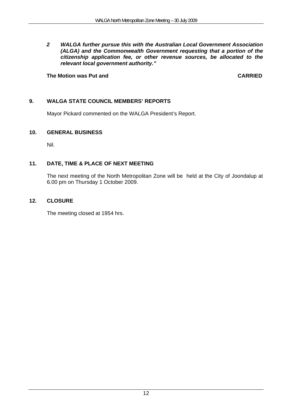*2 WALGA further pursue this with the Australian Local Government Association (ALGA) and the Commonwealth Government requesting that a portion of the citizenship application fee, or other revenue sources, be allocated to the relevant local government authority."*

#### **The Motion was Put and CARRIED CARRIED**

#### **9. WALGA STATE COUNCIL MEMBERS' REPORTS**

Mayor Pickard commented on the WALGA President's Report.

#### **10. GENERAL BUSINESS**

Nil.

#### **11. DATE, TIME & PLACE OF NEXT MEETING**

The next meeting of the North Metropolitan Zone will be held at the City of Joondalup at 6.00 pm on Thursday 1 October 2009.

#### **12. CLOSURE**

The meeting closed at 1954 hrs.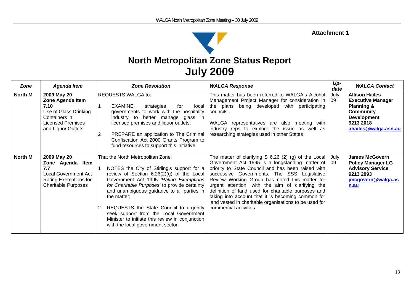#### **Attachment 1**



| <b>Zone</b> | <b>Agenda Item</b>                                                                                                                  | <b>Zone Resolution</b>                                                                                                                                                                                                                                                                                                                                                                                                                                           | <b>WALGA Response</b>                                                                                                                                                                                                                                                                                                                                                                                                                                                                                                 | Up-<br>date | <b>WALGA Contact</b>                                                                                                                                      |
|-------------|-------------------------------------------------------------------------------------------------------------------------------------|------------------------------------------------------------------------------------------------------------------------------------------------------------------------------------------------------------------------------------------------------------------------------------------------------------------------------------------------------------------------------------------------------------------------------------------------------------------|-----------------------------------------------------------------------------------------------------------------------------------------------------------------------------------------------------------------------------------------------------------------------------------------------------------------------------------------------------------------------------------------------------------------------------------------------------------------------------------------------------------------------|-------------|-----------------------------------------------------------------------------------------------------------------------------------------------------------|
| North M     | 2009 May 20<br>Zone Agenda Item<br>7.10<br>Use of Glass Drinking<br>Containers in<br><b>Licensed Premises</b><br>and Liquor Outlets | <b>REQUESTS WALGA to:</b><br><b>EXAMINE</b><br>strategies<br>local<br>for<br>governments to work with the hospitality<br>industry to better manage glass in<br>licensed premises and liquor outlets;<br>2<br>PREPARE an application to The Criminal<br>Confiscation Act 2000 Grants Program to<br>fund resources to support this initiative.                                                                                                                     | This matter has been referred to WALGA's Alcohol<br>Management Project Manager for consideration in<br>the plans being developed with<br>participating<br>councils.<br>WALGA representatives are also meeting with<br>industry reps to explore the issue as well as<br>researching strategies used in other States                                                                                                                                                                                                    | July<br>09  | <b>Allison Hailes</b><br><b>Executive Manager</b><br><b>Planning &amp;</b><br><b>Community</b><br><b>Development</b><br>9213 2018<br>ahailes@walga.asn.au |
| North M     | 2009 May 20<br>Zone Agenda Item<br>7.7<br><b>Local Government Act</b><br>Rating Exemptions for<br><b>Charitable Purposes</b>        | That the North Metropolitan Zone:<br>NOTES the City of Stirling's support for a<br>review of Section 6.26(2)(g) of the Local<br>Government Act 1995 'Rating Exemptions<br>for Charitable Purposes' to provide certainty<br>and unambiguous guidance to all parties in<br>the matter;<br>REQUESTS the State Council to urgently<br>seek support from the Local Government<br>Minister to initiate this review in conjunction<br>with the local government sector. | The matter of clarifying $S$ 6.26 (2) (g) of the Local<br>Government Act 1995 is a longstanding matter of<br>priority to State Council and has been raised with<br>successive Governments. The SSS Legislative<br>Review Working Group has noted this matter for<br>urgent attention, with the aim of clarifying the<br>definition of land used for charitable purposes and<br>taking into account that it is becoming common for<br>land vested in charitable organisations to be used for<br>commercial activities. | July<br>09  | <b>James McGovern</b><br><b>Policy Manager LG</b><br><b>Advisory Service</b><br>9213 2093<br>jmcgovern@walga.as<br>n.au                                   |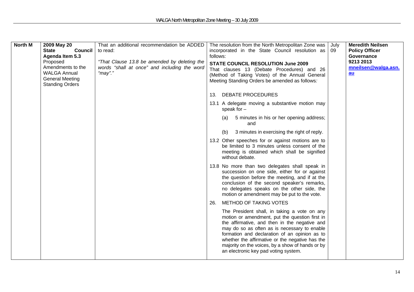| <b>North M</b> | 2009 May 20<br><b>State</b><br><b>Council</b><br>Agenda Item 5.3<br>Proposed<br>Amendments to the<br><b>WALGA Annual</b><br><b>General Meeting</b><br><b>Standing Orders</b> | That an additional recommendation be ADDED<br>to read:<br>"That Clause 13.8 be amended by deleting the<br>words "shall at once" and including the word<br>"may"." | The resolution from the North Metropolitan Zone was<br>incorporated in the State Council resolution as<br>follows:<br><b>STATE COUNCIL RESOLUTION June 2009</b><br>That clauses 13 (Debate Procedures) and 26<br>(Method of Taking Votes) of the Annual General<br>Meeting Standing Orders be amended as follows:<br><b>DEBATE PROCEDURES</b><br>13.<br>13.1 A delegate moving a substantive motion may<br>speak for $-$<br>5 minutes in his or her opening address;<br>(a)<br>and<br>3 minutes in exercising the right of reply.<br>(b)<br>13.2 Other speeches for or against motions are to<br>be limited to 3 minutes unless consent of the<br>meeting is obtained which shall be signified<br>without debate.<br>13.8 No more than two delegates shall speak in<br>succession on one side, either for or against<br>the question before the meeting, and if at the<br>conclusion of the second speaker's remarks, | July<br>09 | <b>Meredith Neilsen</b><br><b>Policy Officer</b><br>Governance<br>9213 2013<br>mneilsen@walga.asn.<br>$au$ |
|----------------|------------------------------------------------------------------------------------------------------------------------------------------------------------------------------|-------------------------------------------------------------------------------------------------------------------------------------------------------------------|-----------------------------------------------------------------------------------------------------------------------------------------------------------------------------------------------------------------------------------------------------------------------------------------------------------------------------------------------------------------------------------------------------------------------------------------------------------------------------------------------------------------------------------------------------------------------------------------------------------------------------------------------------------------------------------------------------------------------------------------------------------------------------------------------------------------------------------------------------------------------------------------------------------------------|------------|------------------------------------------------------------------------------------------------------------|
|                |                                                                                                                                                                              |                                                                                                                                                                   | no delegates speaks on the other side, the<br>motion or amendment may be put to the vote.                                                                                                                                                                                                                                                                                                                                                                                                                                                                                                                                                                                                                                                                                                                                                                                                                             |            |                                                                                                            |
|                |                                                                                                                                                                              |                                                                                                                                                                   | METHOD OF TAKING VOTES<br>26.                                                                                                                                                                                                                                                                                                                                                                                                                                                                                                                                                                                                                                                                                                                                                                                                                                                                                         |            |                                                                                                            |
|                |                                                                                                                                                                              |                                                                                                                                                                   | The President shall, in taking a vote on any<br>motion or amendment, put the question first in<br>the affirmative, and then in the negative and<br>may do so as often as is necessary to enable<br>formation and declaration of an opinion as to<br>whether the affirmative or the negative has the<br>majority on the voices, by a show of hands or by<br>an electronic key pad voting system.                                                                                                                                                                                                                                                                                                                                                                                                                                                                                                                       |            |                                                                                                            |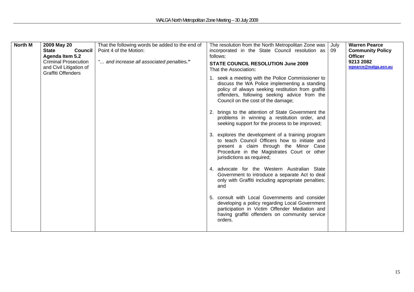| North M | 2009 May 20<br><b>State</b><br><b>Council</b>                                       | That the following words be added to the end of<br>Point 4 of the Motion: | The resolution from the North Metropolitan Zone was<br>incorporated in the State Council resolution as                                                                                                                                         | July<br>09 | <b>Warren Pearce</b><br><b>Community Policy</b> |
|---------|-------------------------------------------------------------------------------------|---------------------------------------------------------------------------|------------------------------------------------------------------------------------------------------------------------------------------------------------------------------------------------------------------------------------------------|------------|-------------------------------------------------|
|         | Agenda Item 5.2                                                                     |                                                                           | follows:                                                                                                                                                                                                                                       |            | <b>Officer</b>                                  |
|         | <b>Criminal Prosecution</b><br>and Civil Litigation of<br><b>Graffiti Offenders</b> | " and increase all associated penalties."                                 | <b>STATE COUNCIL RESOLUTION June 2009</b><br>That the Association:                                                                                                                                                                             |            | 9213 2082<br>wpearce@walqa.asn.au               |
|         |                                                                                     |                                                                           | 1. seek a meeting with the Police Commissioner to<br>discuss the WA Police implementing a standing<br>policy of always seeking restitution from graffiti<br>offenders, following seeking advice from the<br>Council on the cost of the damage; |            |                                                 |
|         |                                                                                     |                                                                           | 2. brings to the attention of State Government the<br>problems in winning a restitution order, and<br>seeking support for the process to be improved;                                                                                          |            |                                                 |
|         |                                                                                     |                                                                           | 3. explores the development of a training program<br>to teach Council Officers how to initiate and<br>present a claim through the Minor Case<br>Procedure in the Magistrates Court or other<br>jurisdictions as required;                      |            |                                                 |
|         |                                                                                     |                                                                           | 4. advocate for the Western Australian State<br>Government to introduce a separate Act to deal<br>only with Graffiti including appropriate penalties;<br>and                                                                                   |            |                                                 |
|         |                                                                                     |                                                                           | 5. consult with Local Governments and consider<br>developing a policy regarding Local Government<br>participation in Victim Offender Mediation and<br>having graffiti offenders on community service<br>orders.                                |            |                                                 |